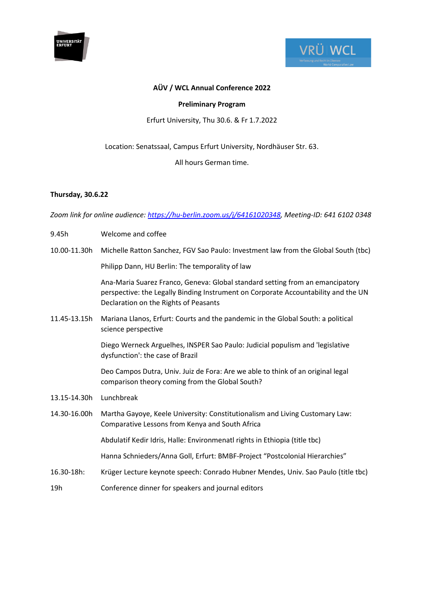



## **AÜV / WCL Annual Conference 2022**

### **Preliminary Program**

### Erfurt University, Thu 30.6. & Fr 1.7.2022

### Location: Senatssaal, Campus Erfurt University, Nordhäuser Str. 63.

All hours German time.

#### **Thursday, 30.6.22**

*Zoom link for online audience: [https://hu-berlin.zoom.us/j/64161020348,](https://hu-berlin.zoom.us/j/64161020348) Meeting-ID: 641 6102 0348* 

- 9.45h Welcome and coffee
- 10.00-11.30h Michelle Ratton Sanchez, FGV Sao Paulo: Investment law from the Global South (tbc)

Philipp Dann, HU Berlin: The temporality of law

Ana-Maria Suarez Franco, Geneva: Global standard setting from an emancipatory perspective: the Legally Binding Instrument on Corporate Accountability and the UN Declaration on the Rights of Peasants

11.45-13.15h Mariana Llanos, Erfurt: Courts and the pandemic in the Global South: a political science perspective

> Diego Werneck Arguelhes, INSPER Sao Paulo: Judicial populism and 'legislative dysfunction': the case of Brazil

> Deo Campos Dutra, Univ. Juiz de Fora: Are we able to think of an original legal comparison theory coming from the Global South?

- 13.15-14.30h Lunchbreak
- 14.30-16.00h Martha Gayoye, Keele University: Constitutionalism and Living Customary Law: Comparative Lessons from Kenya and South Africa

Abdulatif Kedir Idris, Halle: Environmenatl rights in Ethiopia (title tbc)

Hanna Schnieders/Anna Goll, Erfurt: BMBF-Project "Postcolonial Hierarchies"

- 16.30-18h: Krüger Lecture keynote speech: Conrado Hubner Mendes, Univ. Sao Paulo (title tbc)
- 19h Conference dinner for speakers and journal editors